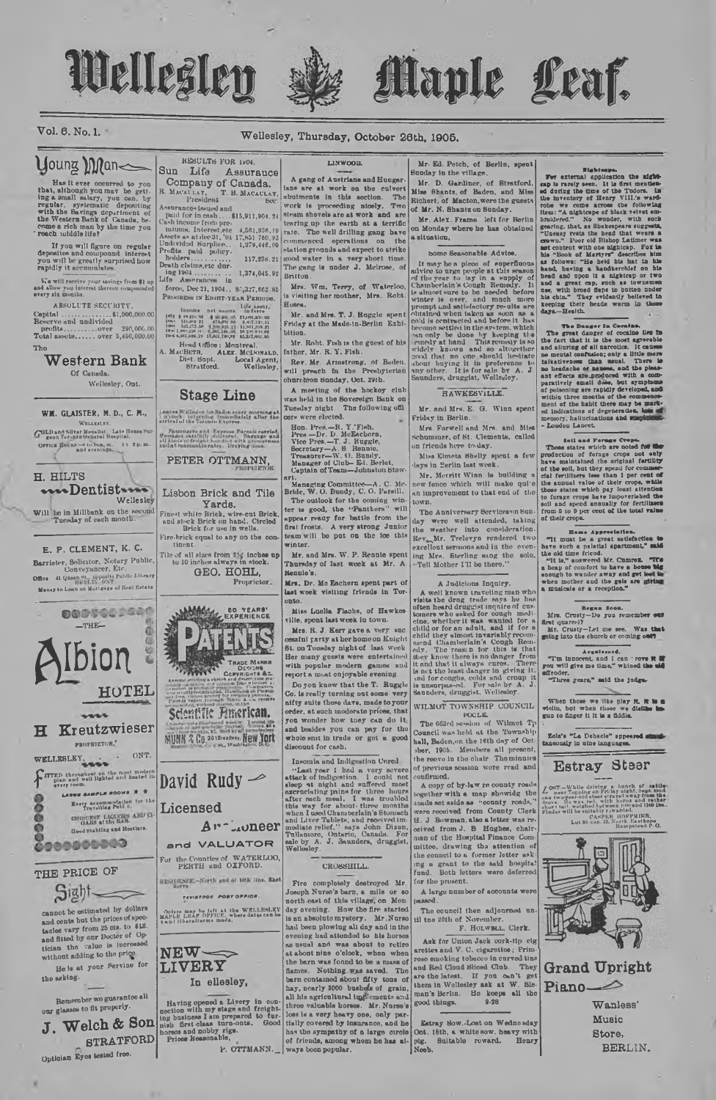## Wellesley

#### Wellesley, Thursday, October 26th, 1905.

## **young Man<**

 $Vol. 6. No. 1.$ 

Let  $\alpha$  be the occurred to you ing a small halongh you may be getting<br>that, although you may be getting a small halong type capacity<br>regular. systematic depositing the Western Bank of Canada, be-<br>come a rich man by the ti

If you will figure on regular<br>deposites and compound interest<br>you will be greatly surprised how<br>rapidly it accumulates.

We will receive your savings from \$1 up<br>ad allow you interest thereon compounded<br>very six months.

ABSOLUTE SECURITY  $1<sub>b</sub>$ 

Western Bank Of Canada.

Weilesley, Ont.

#### WM. GLAISTER, M. D., C. M., **CELLESLES** COLD and Silver Metalist. Late House Sun

OFFICE BOURN-8 to Bin, m. 1t 2p.m.

H. HILTS muDentistun Wellesley

Will be in Millbank on the second<br>Tuesday of each month.

E. P. CLEMENT, K. C. Barrister, Solicitor, Notary Public, Conveyancer, Etc. Conveyancer, Etc.<br>
19 Office at Queen St., appears Public Library<br>
Money to Loan on Mortgage of Real Estate



THE PRICE OF

Sight-

cannot be estimated by dollars cannot be estimated by dollars<br>and cents but the prices of specified of states and fitted by our Docter of Optician the value is increased<br>without adding to the price. He is at your Fervine for

the asking.

Remember we guarantee all our glasses to fit properly.

Welch & Son  $\mathbf{J}$ **STRATFORD** Optician Eyes tested free.

RESULTS FOR 1904. Sun Life Assurauce Company of Canada.

force, Dec 21, 1904., 85,327,662.85<br>PROGRESS 18 EGIRT-YEAR PERIODS.

mesonionis troutines sources.<br>
Hard Office: Montreal.<br>
A. MacBern, ALEr. McDonald<br>
Dist. Spt. Local Agent,<br>
Stratford. Wellesley.

#### **Stage Line**

Lanves Wellsaley for Bailen every morning at<br>7 avrient to termine formuliately after the<br>arrival of the Toronto Kunress Passengers and Express Parcelly<br>Seconds: candidly delivered. Barrelly<br>all kinds of freight heredict with pressure and at reasonable rates. Draying is

PETER OTTMANN,

Lisbon Brick and Tile

Yards. Einest white Brick, wire-out Brick,<br>and stock Brick on hand. Circled<br>Brick for use in wells.<br>Fire-brick equal to any on the con-

tinent The of all sizes from The inches up<br>to 10 inches always in stock. GEO. HOHL,

Proprietor. **BO YEARS'**<br>EXPERIENCE

**TANKING** TRADE MARKE NGR**S**<br>Int<mark>e d</mark>ic Cop Scientific Finerican.

MUNN & Co. 3618000000, New York



and VALUATOR

For the Counties of WATERLOO,<br>PERTH and OXFORD. RESIDENCE-North and of 18th line, East

TAVISTOOK POST OFFICE

Orders may be left at the WELLESLEY<br>MAPLE LEAP OFFICE, where dates can be



In ellesley,

Having opened a Livery in connection with my stage and freighting business I am prepared to furnich first class turn-outs. Good horses and nobby rigs.<br>horses and nobby rigs.

P. OTTMANN.

President B. MACAULAY, laborated in this section. The Assumence issued in the section. The Assumence issued and the section of the section. The public for incess, 1815,911,904.24 steam shows are at work and are the Cash i A gang of Austrians and Hunger

**LINWOOD** 

Mrs. Wm. Terry, of Waterloo is visiting her mother. Mrs. Robt **Новен.** 

Mr. and Mrs. T. J. Buggle spent<br>Friday at the Made-in-Berlin Exhibition

Mr. Robt. Fish is the guest of his er, Mr. R. Y. Fish.  $f_0$ th

Rev. Mr. Armstrong, of Baden,<br>will preach in the Presbyterian<br>churchion Sunday, Oct. 29th.

A meeting of the hockey club was held in the Sovereign Bank on<br>Tuesday night. The following officers were elected.

standard Press, --R. Y. Fish.<br>
Press --Dr. D. McEschern,<br>
Vice Press, --T. J. Ruggle,<br>
Nico Press, --T. J. Ruggle,<br>
Tersator ---W. O. Bundy,<br>
Manager of Club---Ed. Berlet.<br>
Captain of Team--Johnston Stew<br>
Captain of Team--

art.<br>
Managing Committee-A. C. Me<br>
Bride, W. O. Bundy, C. O. Pareill.<br>
The outlook for the coming win ter is good, the "Panthers" will first frosts. A very strong Junior<br>team will be put on the ice this winter.

Mr. and Mrs. W. P. Rennie spent Thursday of last week at Mr. A. tennie's.

Mrs. Dr. Mc Eachern spent part of last week visiting friends in Tor $onto$ 

Miss Luella Flachs, of Hawkes ville, spent last week in town

Mrs. R. J. Kerr gave a very successful contained the control of the many goes a very successful principal theorem of the many goes to work with popular modern games and reports were entertained events with popular modern g

Do von know that the T. Ruggle Co. is really turning out some very nifty suits these days, made to your<br>order, at such moderate prices, that<br>you wonder how tuey can do it and besides you can pay for the discount for cash.

Insomia and Indigestion Unred

Insension and Indigestion three<br>Insects and the set of indigention. I could not step at indigention. I could note<br>theory at insection and the set of indigention in the set of indigending<br>in the set of indigending the set o

CROSSHILL.

Fire completely destroyed Mr Joseph Nurse's barn, a mile or so<br>north-cast of this village, on Monnorth-east of this village, on Mon-<br>any degree and the stated is an absolute mystery. Mr. Nareo has a boson powing all day and in the<br>beauting had attended to his horses as usual and was a boson to reduce<br>at about the sta flames. Nothing was asved. The barn contained about fifty tons of hay, nearly 2000 busheds of grain. all his agricultural implements and three valuable horses. Mr. Nurse's loss is a very heavy one, only pre-<br>
loss is a very heavy one, only pre-<br>
taily covered by insurance, and he<br>
has the sympathy of a large circle (oot. 18th, a white sow. heavy with<br>
of friends, among whom he has al-<br>
pig.

Mr. Ed. Petch, of Berlin, spent Sunday in the village.

Uaple Leaf.

Mr. D. Gardiner, of Stratford, Richert, of Macton, were the guests of Mr. N. Shantz on Sunday.

Mr. Alex. Frame left for Berlin<br>on Monday where he has obtained a situation.

bome Seasonable Advice

forme Scasonable Advice.<br>
It may be a picco of experiments and<br>
reference and the properties and represent the section and related by<br>
represent the section of the section of the section of<br>
the section of the section of

#### **RAWKESVILLE**

Mr. and Mrs. E. G. Winn spent

Friday in Berlin. Mrs. Forwell and Mrs. and Miss hummer, of St. Clements, called on friends here to-day.

Miss Eimeta Shelly spent a few lays in <u>Perlin</u> last week

Mr. Merritt Winn is building a new fence which will make qui'e town

Now International State of the Anniversary Services on the venter into consideration. Reve, Mr. Trelevy are rendered two excellent series and in the eventer of the series of the state of the state of the state of the state Tell Mother I'll be there.

#### A Judicious Inquiry.

A Judicions Inquiry.<br>
A Madicions Inquiry.<br>
A well known traveling man who<br>
visits the drep trade ways he lines<br>
formers who seled for complimed<br>
clue, whether it was wented for a nearly clue of the child of the<br>
child of

WILMOT TOWNSHIP COUNCIL

POCLE<br>The 663rd session of Wilmot T<sub>r</sub><br>conneti was held at the Township Council was next at the Tewaship<br>hall, Baden, on the 16th day of Oct<br>the reeve in the chair The minutes of previous session were read and onfirmed.

A copy of by-law re county roads together with a map showidg the condition of the state as "county roads," were received from County Clerk H. J Bowman, also a letter was recoived from J. B Hughes, chairmain or the river as a attention of<br>the council to a former lotter asking<br>the council to a former lotter asking<br>fund. Both letters were deferred for the present. A large number of accounts were

passed. The council then adjourned un

til the 20th of November.<br>F. HotwmtL, Clerk.

Ask for Union Jack cork-tip cig arottes and V. C. cigarettes; Prim and Red Cloud Sliced Club. They are the latest. If you can't get man's Berlin. Ho keeps all the good things. 9-28

**For external opplession the might-**<br>**Second opplession** the might-<br>capture and during the set of the first methods of during the time of the Todors. In<br>this wave come across the following it<br>relates the set of the Todors

Factors and Farmer Create Creation and Farmer Creation and a production of forms and about a phase maintain factors of the solid of the solid of the solid of the solid of the solid of the solid solid and the sected of the

Figure Appreciation.<br>The mass be great satisfaction to a paint in the second that the condition of the condition of the condition of the company of condition weak and a whole the whole point of the condition of the pair an

Began Soon.<br>Mrs. Crusty-Do you remember our are: Crusty-Let me see. Was that<br>Mr. Crusty-Let me see. Was that<br>going into the church or coming out?

Follow the current or coming over the current of coming over the state of the state of the state of the state of the state of the state of the state of the state of the state of the state of the state of the state of the s

When those we like play it, it is a distinct when those we distinct in gun to finger it it is a diddis.

Eola's "La Debacie" appeared stand-

**Estray Steer** 

LOST.-While driving a bunch of the post point, the post of the property is the drive of the drive of the drive in the drive in the drive in the drive in the drive in the drive in the prior point of the plane in the plane i

**Grand Upright** 

Piano-

 $\overline{\mathscr{D}}$ 

Music

Store.

Wanless'

BERLIN.

CASPER HOFFMIRE,<br>Lot 20, con. 13, North Easthope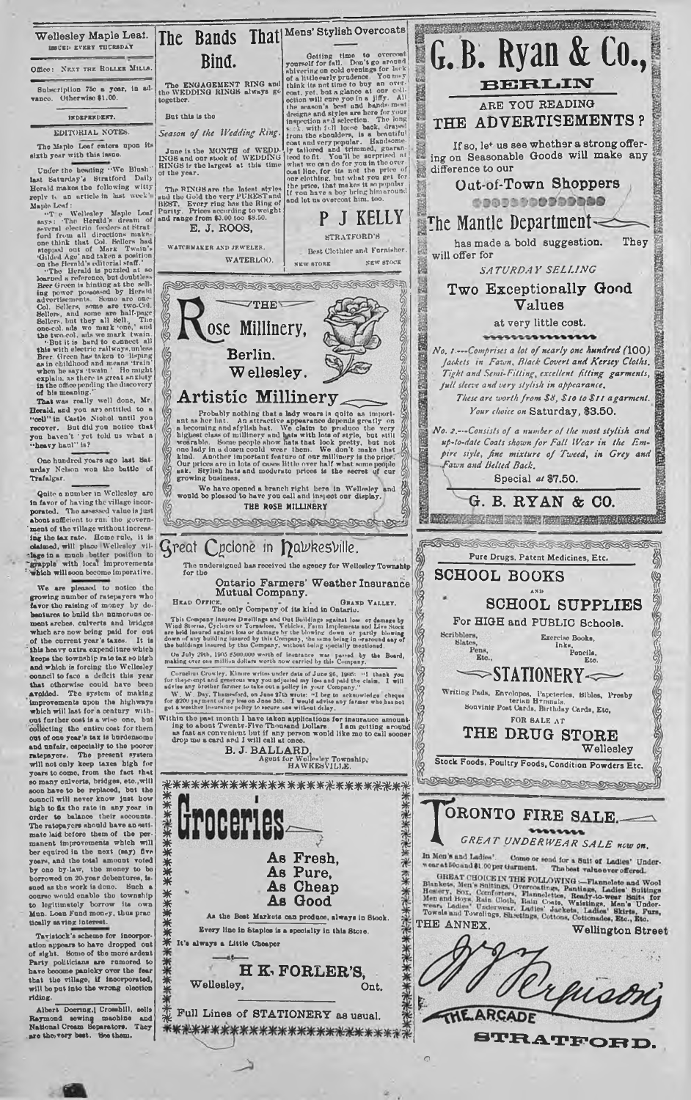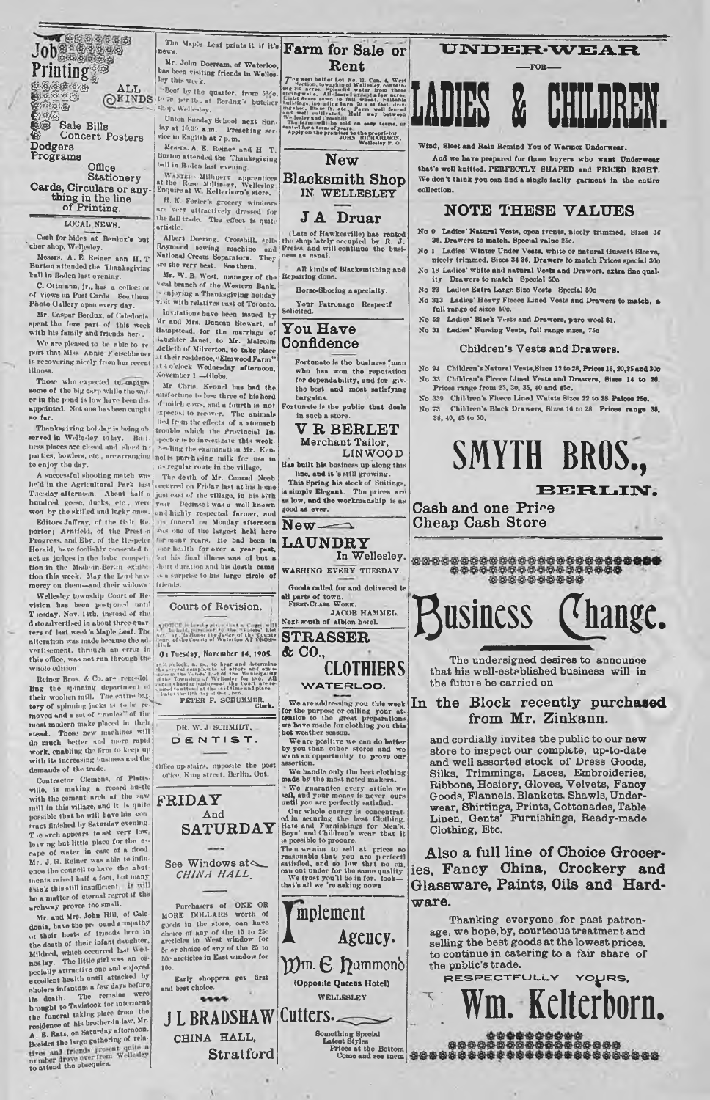Job<br>Printing *B&W@&<sub>@</sub>* **^ ALL**<br>*ALL* P i f f f e  $\mathbf{C}_2$ **Sale Bills © Concert Posters Dodgers Programs**

**Office Stationery Cards, Circulars or any-thing in the line of Printing.**

LOCAL NEWS. Cush for hides at Benlnx's but- ' cher shop, Wellesley.

Messrs. A. E. Reiner ann H. T Burton attended the Thanksgiving ball in Baden last evening.

C. Ottmann, jr., has a collection<br>of views on Post Cards. Bee them<br>Photo Gallery open every day.

Mr. Caspar Berdux, of Caledonfs spent the fore part of this week<br>with his family and friends here.

We are pleased to be able to re<br>port that Miss Annie F eischhauer is recovering nicely from her recent illness.

Those who expected to-capture some of the big carp while the wat-<br>er in the pond is low have been dis-<br>appointed. Not one has been caught far.

Thanksgiving holiday is being ob served in Wellesley to lay. Bu i-ness plncesare closed and **s h o o t** n » ]»ui ties, bowlers, etc., are arranging to enjoy tho day.

Thesday afternoon. About half a just east of the village, in his 57th<br>hundred geese, ducks, etc., were year Decrase1 was a well known A successful shooting match was he'd in the Agricultural Park

Herald, have foolishly consented to j sor health for over a year past, act as in the bahr competi  $\vert$  but in final illness was of but a tion in the Made-in-Borlin, exliihl tion this week. May the Lonl have mercy on them-and their widows

Wellesley township Court of Re-<br>
vision has been postponed until<br>
T iesday, Nov. 14th, instead of the d ito advertised in abont three-quar-ters of last week's Maple Leaf. The alteration was made because the ad-<br>vertisement, through an error in this offioo. was not run through thi whole edition.

Reiner Bros. & Co. ar\* remodel ling the spinning department of  $\frac{1}{2}$ <br>their woollen mill. The entire bat^ <sup>19</sup><br>moved and a set of ••mules' of the moved and a set of ••mules' of the modern make placed in their stead. Those new machines will<br>do much better and more rapid<br>work, enabling the firm to keep up<br>with its increasing business and the demands of the trade.

Contractor Clemens, of Platts-<br>villo, is muking a record hustle<br>with the cement arch at the saw mill in this village, and it is quite<br>possible that he will have his con<br>tract finished by Saturday evening. The arch appears to set very low,<br>lorving but little place for the es-<br>cape of water in case of a flood<br>Mr. J.G. Reiner was able to influence the council to have the abut-<br>ments raised half a foot, but many think this still insufficient. If will<br>be a matter of eternal regrot if the archway proves too small.

Mr. and Mrs. John Hill, of Calo-<br>donia, have tho pro ound *a* mpathy<br>i.i their hosts of friends here in the death of their Infant daughter, Mildred, which occurred hut Wednos lay. The little girl was an est-<br>pecially attractive one and enjoyed<br>excellent heulth until attacked by<br>excellent heulth until attacked by<br>condent infinitum a few days before<br>its death. The remains were<br>the funcaral ta to attend the obsequies.

Inte<sup>Maple</sup> Leaf prints it if it's **Farm for Sale or** Mr. John Doersam, of Waterloo, bas been visiting friends in Wellesley this week.

'Beef by the quarter, from 510. to Je per lb. at Berdnx's butcher hop. Welleslav.

Union Sunday School next Sun-<sup>(in</sup>) at 10.30 **a.m.** Preaching ser-<br>vice in English at 7 p.m.

Mes-rs. A. E. Reiner and H. T.<br>Burton attended the Thanksgiving<br>ball in Baden last evening.

Milliners apprentices<br>at the Ress Milliners, Welleslay<br>Enquire at W. Kelterlayn's store. H. K Forler's grocery window nre very attractively dressed for the fall trade. The effect is quite

artistic. Albert Doering. Crosshill, solls Raymond tewing machine and National Cream Separators. They

»re the Terr best. See them. Mr. W. B West, manager of the Western Bank.<br>'enl branch of the Western Bank.

visit with relatives east of Toronto Invitations have been issued by Mr and Mrs. Duncan Stewart, of<br>Hampstead, for the murriage of<br>hampiter Janet, to Mr. Malcolm<br>McBeth of Milverton, to take place at their residence."Elmwood Farm''<br>at 4 o'clock Wednesday afternoon. iovember 1 -Globe.

Mr Chris. Kennel has had the misfortune to lose three of his herd >f mileh cows, and a fourth is not •xpected to recover. Tiro animals li'tl from the effects of a stomach trouble which the Provincial Inpector is to investigate this week. voling the examination Mr. Kennel is pnnhi-ing milk for use in n> regulir route in the village.

The deuth of Mr. Conrad Neeb occurred on Friday last at his home<br>just east of the village, in his 57th won by the skilled and lucks ones, and highly respected farmer, and Editors Jaffray, of the Galt Rec. (1) a tincrease on Monday afternoon porter; Arntfeld, of the Prest n Was one of the largest held here Propress, and Eby, stor health for over a year past, durt duration and his death came is a surprise to his large circle of friends.

**Rent**

Te west had follow No. 11. Con. 4, West had been been interested by a series approach of the series of the series of the big series of the big series of the big series of the big series of the big series of the big series ned well cultured. Half way batween<br>Wellesiey and Crosshill.<br>The farm will be sold on easy terms, at<br>sorted for a term of years.<br>Apply on the premiers to the proprietor.<br>Apply on the premiers of Michaldy P.O.

**New**

**Blacksmith Shop IN WELLESLEY**

### **J A Druar**

(Late of Hawkesville) has rented the shop lately occupied by R. J . Preiss. and will contiuuo the bnsi-ness as usual.

All kinds of Blacksmithing and Repairing done

Horse-Shoeing a specialty. Your Patronago Respectf<br>Solicited.

#### **You Have Confidence**

Fortunate is the business 'man<br>who has won the reputation for dependability, and for giv-<br>the best and most satisfying bargains.

Fortunate is the public that deals in such a stor-**V R BERLET**

**Merchant Tailor, LIN WOOD**

Has built his business up along this line, and it 's still growing. This Spring his stock of Suitings, ia simply Elegant. The prices are as low, and the workmanship is as

good as ever.

all parts of town.<br>FIRST-CLASS WORK,<br>*JACOB HAMMEL.*<br>Next south of Albion hotel.

**STRASSER & CO.,**

**Let.'' by .'' is Honor the Ju-let – 'Vately' List<br>let.'' by .' is Honor the Ju-lg- of th- 'County**<br>'ourl of the County of Waterloo AT CBOSS-<br>|It.L O: Tuesday, November 14, 1905.

**Court of Revision.**

 $\pm 1$  b clock, a, m, to heat and determined<br>the events cample also determined units in the Voters' Last of the Numicipality<br>state in the Voters' Last of the Numicipality<br>state formship of Welloads for 180, All<br>gated to t



Office upstairs, opposite the post Office. King street. Berlin, Ont.

**FRIDAY And SATURDAY** See Windows at  $\sim$ 

Purchasers of ONE OR MORE DOLLARS worth of goods in the storo, can have<br>choice of any of the 15 to 25c<br>arcticles in West window for<br>Se or choice of any of the 25 to 50e arcticles in East window for 10c.

Early shoppers get first<br>and best choice.

N

**(Opposite Queens Hotel)**

**UNDER-WEAR**  $-FOR$ 



Wind, Sleet and Rain Remind You of Warmer Under

And wo have prepared for those buyers who want Underwear that's well knitted. PERFECTLY SHAPED and PRICED BIGHT. We don't think you can find a single faulty garment in the entire collection.

### **NOTE THESE VALUES**

No 0 Ladies' Natural Vests, open fronts, nicely trimmed, Sizes 34 36, Drawers to match. Special value 25c.

- No 1 Ladies' Winter Under Vests, white or natural Gussett Sloeve, nicely trimmed, Sizes 34 36, Drawers to match Prices special 30o No 18 Ladies' white and natural Vests and Drawers, extra fine quality Drawers to match 8pocial 50c
- No 23 Ladies Extra Large Size Vests Special 50c
- 
- No 313 Ladies' Heavy Fleece Lined Vests and Drawers to match, a full range of sizes 50c. No 52 Ladies' Black Vests and Drawers, pure wool \$1.
- No 31 Ladies' Nursing Vests, full range sizes, 750

#### **Children's Vests and Drawers.**

- No 94 Children's Natural Vests, Sizes 12 to 28, Prices 18, 20, 25 and 30o No 33 Children's Fleece Lined Vests and Drawers, Sizes 14 to 28. Prices range from 25, 3u, 35, 40 and 45c.
- No 359 Children's Fleece Lined W aists Sizes 22 to 28 Paioos 25o. No 73 Children's Black Drawers, Sizes 16 to 28 Prices range 35,
	- 38, 40, 45 to 50.

## **SMYTH BROS.,**

#### **BERLIN.**

**Cash and one Pri^e Cheap Cash Store**

## **Business (thange.**

**The undersigned desires to announce that his well-established business will in the futui e be carried on**

### **In the Block recently purchased from Mr. Zinkann.**

**and cordially invites the public to our new store to inspect our complete, up-to-date and well assorted stock of Dress Goods, Silks, Trimmings, Laces, Embroideries, Ribbons, Hosiery, Gloves, Velvets, Fancy Goods, Flannels. Blankets, Shawls, Underwear, Shirtings, Prints, Cottonades, Table Linen, Gents' Furnishings, Ready-made Clothing, Etc.**

**Also a full line of Choice Groceries, Fancy China, Crockery and Glassware, Paints, Oils and Hardware.**

**Thanking everyone for past patronage, we hope, by, courteous treatment and selling the best goods at the lowest prices, to continue in catering to a fair share of the public's trade.**



**WATERLOO.** We are addressing you this week<br>for the purpose or calling your at-<br>tention to tho great preparations<br>we have made for clothing you this<br>hot weather sonson.

**CLOTHIERS** 

We are positive we can do better<br>by you than other stores and we<br>want an opportunity to prove our<br>assertion.

made by the most noted makers.<br>
"We guarantee every article weekl, and your money is never oursell, and your money is never oursell you are perfectly satisfied.<br>
Our whole one rey is concentrated in securing the best Cothi

Then we aim to sell at prices so reasonable that you are p cricctl<br>estisfied, and so low that no on.<br>con out under for the same quality<br>We trast you'll be in for. look—<br>that's all we 'ro asking nows

We handle only the best clothing<br>made by the most noted makers.

*CHINA HALL***.**

 $1111$ 

J L BRADSHAW Cutters-. **CHINA HALL, Stratford**